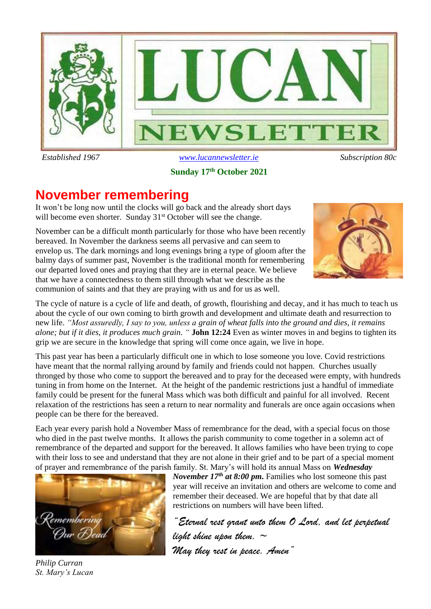

 *Established 1967 [www.lucannewsletter.ie](http://www.lucannewsletter.ie/) Subscription 80c*

## **Sunday 17 th October 2021**

# **November remembering**

It won't be long now until the clocks will go back and the already short days will become even shorter. Sunday 31<sup>st</sup> October will see the change.

November can be a difficult month particularly for those who have been recently bereaved. In November the darkness seems all pervasive and can seem to envelop us. The dark mornings and long evenings bring a type of gloom after the balmy days of summer past, November is the traditional month for remembering our departed loved ones and praying that they are in eternal peace. We believe that we have a connectedness to them still through what we describe as the communion of saints and that they are praying with us and for us as well.



The cycle of nature is a cycle of life and death, of growth, flourishing and decay, and it has much to teach us about the cycle of our own coming to birth growth and development and ultimate death and resurrection to new life. *"Most assuredly, I say to you, unless a grain of wheat falls into the ground and dies, it remains alone; but if it dies, it produces much grain. "* **John 12:24** Even as winter moves in and begins to tighten its grip we are secure in the knowledge that spring will come once again, we live in hope.

This past year has been a particularly difficult one in which to lose someone you love. Covid restrictions have meant that the normal rallying around by family and friends could not happen. Churches usually thronged by those who come to support the bereaved and to pray for the deceased were empty, with hundreds tuning in from home on the Internet. At the height of the pandemic restrictions just a handful of immediate family could be present for the funeral Mass which was both difficult and painful for all involved. Recent relaxation of the restrictions has seen a return to near normality and funerals are once again occasions when people can be there for the bereaved.

Each year every parish hold a November Mass of remembrance for the dead, with a special focus on those who died in the past twelve months. It allows the parish community to come together in a solemn act of remembrance of the departed and support for the bereaved. It allows families who have been trying to cope with their loss to see and understand that they are not alone in their grief and to be part of a special moment of prayer and remembrance of the parish family. St. Mary's will hold its annual Mass on *Wednesday* 



*November 17th at 8:00 pm.* Families who lost someone this past year will receive an invitation and others are welcome to come and remember their deceased. We are hopeful that by that date all restrictions on numbers will have been lifted.

*"Eternal rest grant unto them O Lord, and let perpetual light shine upon them. ~ May they rest in peace. Amen"*

*Philip Curran St. Mary's Lucan*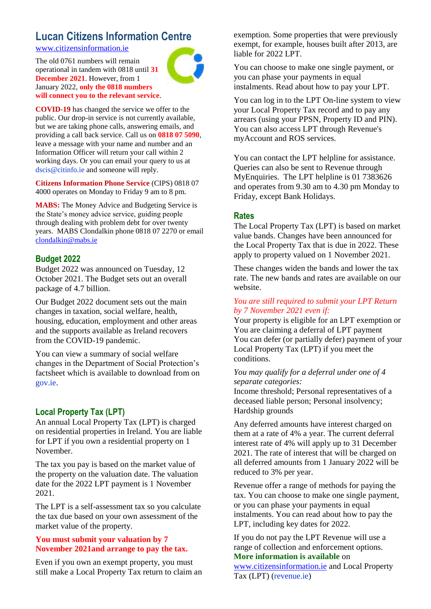# **Lucan Citizens Information Centre**

[www.citizensinformation.ie](http://www.citizensinformation.ie/)

The old 0761 numbers will remain operational in tandem with 0818 until **31 December 2021**. However, from 1 January 2022, **only the 0818 numbers will connect you to the relevant service**.



**COVID-19** has changed the service we offer to the public. Our drop-in service is not currently available, but we are taking phone calls, answering emails, and providing a call back service. Call us on **0818 07 5090**, leave a message with your name and number and an Information Officer will return your call within 2 working days. Or you can email your query to us at dscis@citinfo.ie and someone will reply.

**Citizens Information Phone Service** (CIPS) 0818 07 4000 operates on Monday to Friday 9 am to 8 pm.

**MABS:** The Money Advice and Budgeting Service is the State's money advice service, guiding people through dealing with problem debt for over twenty years. MABS Clondalkin phone 0818 07 2270 or email [clondalkin@mabs.ie](mailto:clondalkin@mabs.ie)

## **Budget 2022**

Budget 2022 was announced on Tuesday, 12 October 2021. The Budget sets out an overall package of 4.7 billion.

Our Budget 2022 document sets out the main changes in taxation, social welfare, health, housing, education, employment and other areas and the supports available as Ireland recovers from the COVID-19 pandemic.

You can view a summary of social welfare changes in the Department of Social Protection's factsheet which is available to download from on gov.ie.

## **Local Property Tax (LPT)**

An annual Local Property Tax (LPT) is charged on residential properties in Ireland. You are liable for LPT if you own a residential property on 1 November.

The tax you pay is based on the market value of the property on the valuation date. The valuation date for the 2022 LPT payment is 1 November 2021.

The LPT is a self-assessment tax so you calculate the tax due based on your own assessment of the market value of the property.

### **You must submit your valuation by 7 November 2021and arrange to pay the tax.**

Even if you own an exempt property, you must still make a Local Property Tax return to claim an exemption. Some properties that were previously exempt, for example, houses built after 2013, are liable for 2022 LPT.

You can choose to make one single payment, or you can phase your payments in equal instalments. Read about how to pay your LPT.

You can log in to the LPT On-line system to view your Local Property Tax record and to pay any arrears (using your PPSN, Property ID and PIN). You can also access LPT through Revenue's myAccount and ROS services.

You can contact the LPT helpline for assistance. Queries can also be sent to Revenue through MyEnquiries. The LPT helpline is 01 7383626 and operates from 9.30 am to 4.30 pm Monday to Friday, except Bank Holidays.

## **Rates**

The Local Property Tax (LPT) is based on market value bands. Changes have been announced for the Local Property Tax that is due in 2022. These apply to property valued on 1 November 2021.

These changes widen the bands and lower the tax rate. The new bands and rates are available on our website.

### *You are still required to submit your LPT Return by 7 November 2021 even if:*

Your property is eligible for an LPT exemption or You are claiming a deferral of LPT payment You can defer (or partially defer) payment of your Local Property Tax (LPT) if you meet the conditions.

### *You may qualify for a deferral under one of 4 separate categories:*

Income threshold; Personal representatives of a deceased liable person; Personal insolvency; Hardship grounds

Any deferred amounts have interest charged on them at a rate of 4% a year. The current deferral interest rate of 4% will apply up to 31 December 2021. The rate of interest that will be charged on all deferred amounts from 1 January 2022 will be reduced to 3% per year.

Revenue offer a range of methods for paying the tax. You can choose to make one single payment, or you can phase your payments in equal instalments. You can read about how to pay the LPT, including key dates for 2022.

If you do not pay the LPT Revenue will use a range of collection and enforcement options. **More information is available** on

[www.citizensinformation.ie](http://www.citizensinformation.ie/) and Local Property Tax (LPT) (revenue.ie)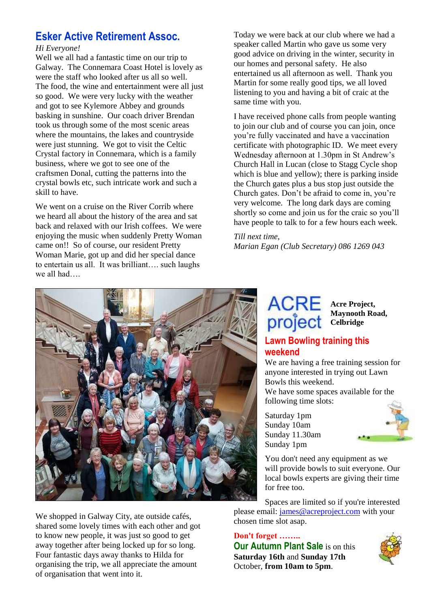# **Esker Active Retirement Assoc.**

### *Hi Everyone!*

Well we all had a fantastic time on our trip to Galway. The Connemara Coast Hotel is lovely as were the staff who looked after us all so well. The food, the wine and entertainment were all just so good. We were very lucky with the weather and got to see Kylemore Abbey and grounds basking in sunshine. Our coach driver Brendan took us through some of the most scenic areas where the mountains, the lakes and countryside were just stunning. We got to visit the Celtic Crystal factory in Connemara, which is a family business, where we got to see one of the craftsmen Donal, cutting the patterns into the crystal bowls etc, such intricate work and such a skill to have.

We went on a cruise on the River Corrib where we heard all about the history of the area and sat back and relaxed with our Irish coffees. We were enjoying the music when suddenly Pretty Woman came on!! So of course, our resident Pretty Woman Marie, got up and did her special dance to entertain us all. It was brilliant…. such laughs we all had….

Today we were back at our club where we had a speaker called Martin who gave us some very good advice on driving in the winter, security in our homes and personal safety. He also entertained us all afternoon as well. Thank you Martin for some really good tips, we all loved listening to you and having a bit of craic at the same time with you.

I have received phone calls from people wanting to join our club and of course you can join, once you're fully vaccinated and have a vaccination certificate with photographic ID. We meet every Wednesday afternoon at 1.30pm in St Andrew's Church Hall in Lucan (close to Stagg Cycle shop which is blue and yellow); there is parking inside the Church gates plus a bus stop just outside the Church gates. Don't be afraid to come in, you're very welcome. The long dark days are coming shortly so come and join us for the craic so you'll have people to talk to for a few hours each week.

# *Till next time,*

*Marian Egan (Club Secretary) 086 1269 043* 



We shopped in Galway City, ate outside cafés, shared some lovely times with each other and got to know new people, it was just so good to get away together after being locked up for so long. Four fantastic days away thanks to Hilda for organising the trip, we all appreciate the amount of organisation that went into it.

# **Acre Project, project** Celbridge

**Maynooth Road,** 

## **Lawn Bowling training this weekend**

We are having a free training session for anyone interested in trying out Lawn Bowls this weekend.

We have some spaces available for the following time slots:

Saturday 1pm Sunday 10am Sunday 11.30am Sunday 1pm



You don't need any equipment as we will provide bowls to suit everyone. Our local bowls experts are giving their time for free too.

Spaces are limited so if you're interested please email: [james@acreproject.com](mailto:james@acreproject.com) with your chosen time slot asap.

## **Don't forget ……..**

**Our Autumn Plant Sale** is on this **Saturday 16th** and **Sunday 17th** October, **from 10am to 5pm**.

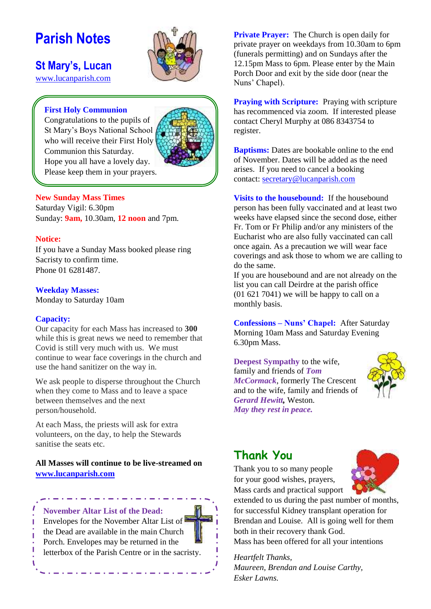# **Parish Notes**

**St Mary's, Lucan** 



# [www.lucanparish.com](http://www.lucanparish.com/)

## **First Holy Communion**

Congratulations to the pupils of St Mary's Boys National School who will receive their First Holy Communion this Saturday. Hope you all have a lovely day. Please keep them in your prayers.



### **New Sunday Mass Times**

Saturday Vigil: 6.30pm Sunday: **9am,** 10.30am, **12 noon** and 7pm.

### **Notice:**

If you have a Sunday Mass booked please ring Sacristy to confirm time. Phone 01 6281487.

### **Weekday Masses:**

Monday to Saturday 10am

### **Capacity:**

Our capacity for each Mass has increased to **300** while this is great news we need to remember that Covid is still very much with us. We must continue to wear face coverings in the church and use the hand sanitizer on the way in.

We ask people to disperse throughout the Church when they come to Mass and to leave a space between themselves and the next person/household.

At each Mass, the priests will ask for extra volunteers, on the day, to help the Stewards sanitise the seats etc.

## **All Masses will continue to be live-streamed on [www.lucanparish.com](http://www.lucanparish.com/)**



**Private Prayer:** The Church is open daily for private prayer on weekdays from 10.30am to 6pm (funerals permitting) and on Sundays after the 12.15pm Mass to 6pm. Please enter by the Main Porch Door and exit by the side door (near the Nuns' Chapel).

**Praying with Scripture:** Praying with scripture has recommenced via zoom. If interested please contact Cheryl Murphy at 086 8343754 to register.

**Baptisms:** Dates are bookable online to the end of November. Dates will be added as the need arises. If you need to cancel a booking contact: [secretary@lucanparish.com](mailto:secretary@lucanparish.com?subject=Cancellation%20of%20Baptism%20Booking&body=Dear%20Secretary%2C%0AI%20wish%20to%20cancel%20the%20booking%20made%20for%20baby%3A%0Aon%20date%3A%0AThank%20You)

**Visits to the housebound:** If the housebound person has been fully vaccinated and at least two weeks have elapsed since the second dose, either Fr. Tom or Fr Philip and/or any ministers of the Eucharist who are also fully vaccinated can call once again. As a precaution we will wear face coverings and ask those to whom we are calling to do the same.

If you are housebound and are not already on the list you can call Deirdre at the parish office (01 621 7041) we will be happy to call on a monthly basis.

**Confessions – Nuns' Chapel:** After Saturday Morning 10am Mass and Saturday Evening 6.30pm Mass.

**Deepest Sympathy** to the wife, family and friends of *Tom McCormack*, formerly The Crescent and to the wife, family and friends of *Gerard Hewitt,* Weston. *May they rest in peace.* 



# **Thank You**

Thank you to so many people for your good wishes, prayers, Mass cards and practical support



extended to us during the past number of months, for successful Kidney transplant operation for Brendan and Louise. All is going well for them both in their recovery thank God. Mass has been offered for all your intentions

*Heartfelt Thanks, Maureen, Brendan and Louise Carthy, Esker Lawns.*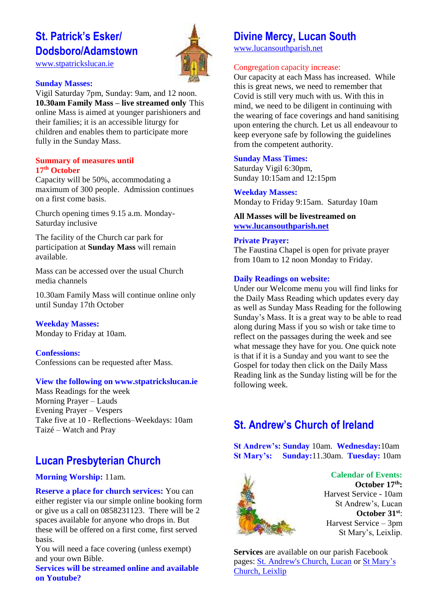# **St. Patrick's Esker/ Dodsboro/Adamstown**

[www.stpatrickslucan.ie](http://www.stpatrickslucan.ie/)



### **Sunday Masses:**

Vigil Saturday 7pm, Sunday: 9am, and 12 noon. **10.30am Family Mass – live streamed only** This online Mass is aimed at younger parishioners and their families; it is an accessible liturgy for children and enables them to participate more fully in the Sunday Mass.

#### **Summary of measures until 17th October**

Capacity will be 50%, accommodating a maximum of 300 people. Admission continues on a first come basis.

Church opening times 9.15 a.m. Monday-Saturday inclusive

The facility of the Church car park for participation at **Sunday Mass** will remain available.

Mass can be accessed over the usual Church media channels

10.30am Family Mass will continue online only until Sunday 17th October

**Weekday Masses:** Monday to Friday at 10am.

**Confessions:**  Confessions can be requested after Mass.

### **View the following on www.stpatrickslucan.ie**

Mass Readings for the week Morning Prayer – Lauds Evening Prayer – Vespers Take five at 10 - Reflections–Weekdays: 10am Taizé – Watch and Pray

# **Lucan Presbyterian Church**

### **Morning Worship:** 11am.

**Reserve a place for church services:** You can either register via our simple online booking form or give us a call on 0858231123. There will be 2 spaces available for anyone who drops in. But these will be offered on a first come, first served basis.

You will need a face covering (unless exempt) and your own Bible.

**Services will be streamed online and available on Youtube?**

# **Divine Mercy, Lucan South**

[www.lucansouthparish.net](http://www.lucansouthparish.net/)

## Congregation capacity increase:

Our capacity at each Mass has increased. While this is great news, we need to remember that Covid is still very much with us. With this in mind, we need to be diligent in continuing with the wearing of face coverings and hand sanitising upon entering the church. Let us all endeavour to keep everyone safe by following the guidelines from the competent authority.

### **Sunday Mass Times:**

Saturday Vigil 6:30pm, Sunday 10:15am and 12:15pm

**Weekday Masses:** Monday to Friday 9:15am. Saturday 10am

### **All Masses will be livestreamed on [www.lucansouthparish.net](http://www.lucansouthparish.net/)**

### **Private Prayer:**

The Faustina Chapel is open for private prayer from 10am to 12 noon Monday to Friday.

### **Daily Readings on website:**

Under our Welcome menu you will find links for the Daily Mass Reading which updates every day as well as Sunday Mass Reading for the following Sunday's Mass. It is a great way to be able to read along during Mass if you so wish or take time to reflect on the passages during the week and see what message they have for you. One quick note is that if it is a Sunday and you want to see the Gospel for today then click on the Daily Mass Reading link as the Sunday listing will be for the following week.

# **St. Andrew's Church of Ireland**

**St Andrew's: Sunday** 10am. **Wednesday:**10am **St Mary's: Sunday:**11.30am. **Tuesday:** 10am



**Calendar of Events: October 17th:** Harvest Service - 10am St Andrew's, Lucan **October 31st**: Harvest Service – 3pm St Mary's, Leixlip.

**Services** are available on our parish Facebook pages: [St. Andrew's Church, Lucan](https://www.facebook.com/standrewslucan/) or [St Mary's](https://www.facebook.com/stmarysleixlip/)  [Church, Leixlip](https://www.facebook.com/stmarysleixlip/)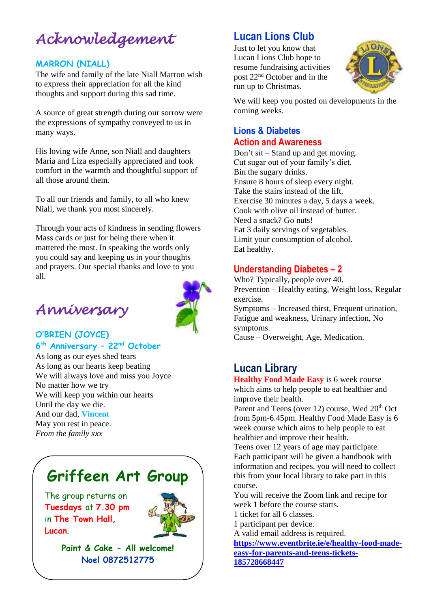# *Acknowledgement*

## **MARRON (NIALL)**

The wife and family of the late Niall Marron wish to express their appreciation for all the kind thoughts and support during this sad time.

A source of great strength during our sorrow were the expressions of sympathy conveyed to us in many ways.

His loving wife Anne, son Niall and daughters Maria and Liza especially appreciated and took comfort in the warmth and thoughtful support of all those around them.

To all our friends and family, to all who knew Niall, we thank you most sincerely.

Through your acts of kindness in sending flowers Mass cards or just for being there when it mattered the most. In speaking the words only you could say and keeping us in your thoughts and prayers. Our special thanks and love to you all.





## **O'BRIEN (JOYCE) 6 th Anniversary – 22nd October**

As long as our eyes shed tears As long as our hearts keep beating We will always love and miss you Joyce No matter how we try We will keep you within our hearts Until the day we die. And our dad, **Vincent** May you rest in peace. *From the family xxx*

# **Griffeen Art Group**

The group returns on **Tuesdays** at **7.30 pm** in **The Town Hall, Lucan**.



**Paint & Cake - All welcome! Noel 0872512775**

# **Lucan Lions Club**

Just to let you know that Lucan Lions Club hope to resume fundraising activities post 22nd October and in the run up to Christmas.



We will keep you posted on developments in the coming weeks.

## **Lions & Diabetes Action and Awareness**

Don't sit – Stand up and get moving. Cut sugar out of your family's diet. Bin the sugary drinks. Ensure 8 hours of sleep every night. Take the stairs instead of the lift. Exercise 30 minutes a day, 5 days a week. Cook with olive oil instead of butter. Need a snack? Go nuts! Eat 3 daily servings of vegetables. Limit your consumption of alcohol. Eat healthy.

## **Understanding Diabetes – 2**

Who? Typically, people over 40. Prevention – Healthy eating, Weight loss, Regular exercise. Symptoms – Increased thirst, Frequent urination, Fatigue and weakness, Urinary infection, No symptoms.

Cause – Overweight, Age, Medication.

## **Lucan Library**

**Healthy Food Made Easy** is 6 week course which aims to help people to eat healthier and improve their health.

Parent and Teens (over 12) course, Wed 20<sup>th</sup> Oct from 5pm-6.45pm. Healthy Food Made Easy is 6 week course which aims to help people to eat healthier and improve their health.

Teens over 12 years of age may participate. Each participant will be given a handbook with information and recipes, you will need to collect this from your local library to take part in this course.

You will receive the Zoom link and recipe for week 1 before the course starts.

1 ticket for all 6 classes.

1 participant per device.

A valid email address is required.

**[https://www.eventbrite.ie/e/healthy-food-made](https://www.eventbrite.ie/e/healthy-food-made-easy-for-parents-and-teens-tickets-185728668447)[easy-for-parents-and-teens-tickets-](https://www.eventbrite.ie/e/healthy-food-made-easy-for-parents-and-teens-tickets-185728668447)[185728668447](https://www.eventbrite.ie/e/healthy-food-made-easy-for-parents-and-teens-tickets-185728668447)**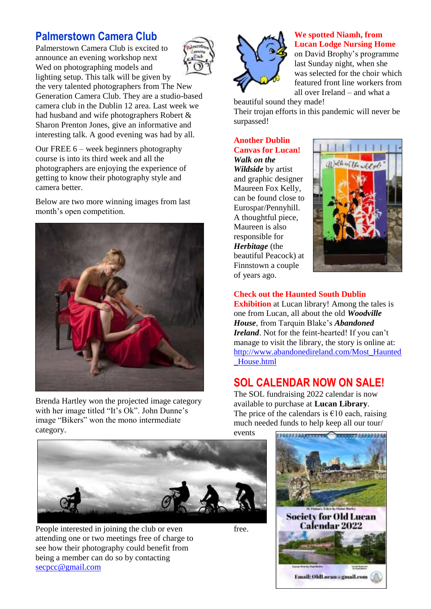# **Palmerstown Camera Club**

Palmerstown Camera Club is excited to announce an evening workshop next Wed on photographing models and lighting setup. This talk will be given by



the very talented photographers from The New Generation Camera Club. They are a studio-based camera club in the Dublin 12 area. Last week we had husband and wife photographers Robert & Sharon Prenton Jones, give an informative and interesting talk. A good evening was had by all.

Our FREE 6 – week beginners photography course is into its third week and all the photographers are enjoying the experience of getting to know their photography style and camera better.

Below are two more winning images from last month's open competition.



Brenda Hartley won the projected image category with her image titled "It's Ok". John Dunne's image "Bikers" won the mono intermediate category.



People interested in joining the club or even attending one or two meetings free of charge to see how their photography could benefit from being a member can do so by contacting [secpcc@gmail.com](mailto:secpcc@gmail.com)



## **We spotted Niamh, from Lucan Lodge Nursing Home**

on David Brophy's programme last Sunday night, when she was selected for the choir which featured front line workers from all over Ireland – and what a

beautiful sound they made!

Their trojan efforts in this pandemic will never be surpassed!

#### **Another Dublin Canvas for Lucan!** *Walk on the*

*Wildside* by artist and graphic designer Maureen Fox Kelly, can be found close to Eurospar/Pennyhill. A thoughtful piece, Maureen is also responsible for *Herbitage* (the beautiful Peacock) at Finnstown a couple of years ago.

free.



## **Check out the Haunted South Dublin**

**Exhibition** at Lucan library! Among the tales is one from Lucan, all about the old *Woodville House*, from Tarquin Blake's *Abandoned Ireland*. Not for the feint-hearted! If you can't manage to visit the library, the story is online at: [http://www.abandonedireland.com/Most\\_Haunted](http://www.abandonedireland.com/Most_Haunted_House.html) [\\_House.html](http://www.abandonedireland.com/Most_Haunted_House.html)

# **SOL CALENDAR NOW ON SALE!**

The SOL fundraising 2022 calendar is now available to purchase at **Lucan Library**. The price of the calendars is  $\epsilon$ 10 each, raising much needed funds to help keep all our tour/

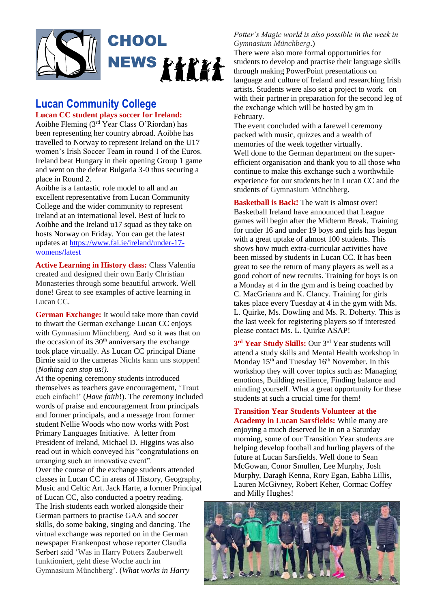

# **Lucan Community College**

### **Lucan CC student plays soccer for Ireland:**

Aoibhe Fleming  $(3<sup>rd</sup>$  Year Class O'Riordan) has been representing her country abroad. Aoibhe has travelled to Norway to represent Ireland on the U17 women's Irish Soccer Team in round 1 of the Euros. Ireland beat Hungary in their opening Group 1 game and went on the defeat Bulgaria 3-0 thus securing a place in Round 2.

Aoibhe is a fantastic role model to all and an excellent representative from Lucan Community College and the wider community to represent Ireland at an international level. Best of luck to Aoibhe and the Ireland u17 squad as they take on hosts Norway on Friday. You can get the latest updates at [https://www.fai.ie/ireland/under-17](https://www.fai.ie/ireland/under-17-womens/latest) [womens/latest](https://www.fai.ie/ireland/under-17-womens/latest)

**Active Learning in History class:** Class Valentia created and designed their own Early Christian Monasteries through some beautiful artwork. Well done! Great to see examples of active learning in Lucan CC.

**German Exchange:** It would take more than covid to thwart the German exchange Lucan CC enjoys with Gymnasium Münchberg. And so it was that on the occasion of its  $30<sup>th</sup>$  anniversary the exchange took place virtually. As Lucan CC principal Diane Birnie said to the cameras Nichts kann uns stoppen! (*Nothing can stop us!).*

At the opening ceremony students introduced themselves as teachers gave encouragement, 'Traut euch einfach!' (*Have faith*!). The ceremony included words of praise and encouragement from principals and former principals, and a message from former student Nellie Woods who now works with Post Primary Languages Initiative. A letter from President of Ireland, Michael D. Higgins was also read out in which conveyed his "congratulations on arranging such an innovative event".

Over the course of the exchange students attended classes in Lucan CC in areas of History, Geography, Music and Celtic Art. Jack Harte, a former Principal of Lucan CC, also conducted a poetry reading. The Irish students each worked alongside their German partners to practise GAA and soccer skills, do some baking, singing and dancing. The virtual exchange was reported on in the German newspaper Frankenpost whose reporter Claudia Serbert said 'Was in Harry Potters Zauberwelt funktioniert, geht diese Woche auch im Gymnasium Münchberg'. (*What works in Harry* 

### *Potter's Magic world is also possible in the week in Gymnasium Münchberg*.)

There were also more formal opportunities for students to develop and practise their language skills through making PowerPoint presentations on language and culture of Ireland and researching Irish artists. Students were also set a project to work on with their partner in preparation for the second leg of the exchange which will be hosted by gm in February.

The event concluded with a farewell ceremony packed with music, quizzes and a wealth of memories of the week together virtually. Well done to the German department on the superefficient organisation and thank you to all those who continue to make this exchange such a worthwhile experience for our students her in Lucan CC and the students of Gymnasium Münchberg.

**Basketball is Back!** The wait is almost over! Basketball Ireland have announced that League games will begin after the Midterm Break. Training for under 16 and under 19 boys and girls has begun with a great uptake of almost 100 students. This shows how much extra-curricular activities have been missed by students in Lucan CC. It has been great to see the return of many players as well as a good cohort of new recruits. Training for boys is on a Monday at 4 in the gym and is being coached by C. MacGrianra and K. Clancy. Training for girls takes place every Tuesday at 4 in the gym with Ms. L. Quirke, Ms. Dowling and Ms. R. Doherty. This is the last week for registering players so if interested please contact Ms. L. Quirke ASAP!

**3 rd Year Study Skills:** Our 3rd Year students will attend a study skills and Mental Health workshop in Monday 15<sup>th</sup> and Tuesday 16<sup>th</sup> November. In this workshop they will cover topics such as: Managing emotions, Building resilience, Finding balance and minding yourself. What a great opportunity for these students at such a crucial time for them!

**Transition Year Students Volunteer at the Academy in Lucan Sarsfields:** While many are enjoying a much deserved lie in on a Saturday morning, some of our Transition Year students are helping develop football and hurling players of the future at Lucan Sarsfields. Well done to Sean McGowan, Conor Smullen, Lee Murphy, Josh Murphy, Daragh Kenna, Rory Egan, Eabha Lillis, Lauren McGivney, Robert Keher, Cormac Coffey and Milly Hughes!

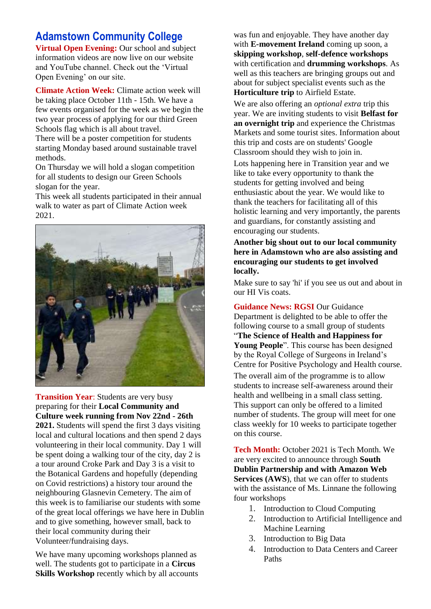# **Adamstown Community College**

**Virtual Open Evening:** Our school and subject information videos are now live on our website and YouTube channel. Check out the 'Virtual Open Evening' on our site.

**Climate Action Week:** Climate action week will be taking place October 11th - 15th. We have a few events organised for the week as we begin the two year process of applying for our third Green Schools flag which is all about travel.

There will be a poster competition for students starting Monday based around sustainable travel methods.

On Thursday we will hold a slogan competition for all students to design our Green Schools slogan for the year.

This week all students participated in their annual walk to water as part of Climate Action week 2021.



**Transition Year**: Students are very busy preparing for their **Local Community and Culture week running from Nov 22nd - 26th 2021.** Students will spend the first 3 days visiting local and cultural locations and then spend 2 days volunteering in their local community. Day 1 will be spent doing a walking tour of the city, day 2 is a tour around Croke Park and Day 3 is a visit to the Botanical Gardens and hopefully (depending on Covid restrictions) a history tour around the neighbouring Glasnevin Cemetery. The aim of this week is to familiarise our students with some of the great local offerings we have here in Dublin and to give something, however small, back to their local community during their Volunteer/fundraising days.

We have many upcoming workshops planned as well. The students got to participate in a **Circus Skills Workshop** recently which by all accounts

was fun and enjoyable. They have another day with **E-movement Ireland** coming up soon, a **skipping workshop**, **self-defence workshops** with certification and **drumming workshops**. As well as this teachers are bringing groups out and about for subject specialist events such as the **Horticulture trip** to Airfield Estate.

We are also offering an *optional extra* trip this year. We are inviting students to visit **Belfast for an overnight trip** and experience the Christmas Markets and some tourist sites. Information about this trip and costs are on students' Google Classroom should they wish to join in.

Lots happening here in Transition year and we like to take every opportunity to thank the students for getting involved and being enthusiastic about the year. We would like to thank the teachers for facilitating all of this holistic learning and very importantly, the parents and guardians, for constantly assisting and encouraging our students.

**Another big shout out to our local community here in Adamstown who are also assisting and encouraging our students to get involved locally.** 

Make sure to say 'hi' if you see us out and about in our HI Vis coats.

**Guidance News: RGSI** Our Guidance Department is delighted to be able to offer the following course to a small group of students "**The Science of Health and Happiness for Young People**". This course has been designed by the Royal College of Surgeons in Ireland's Centre for Positive Psychology and Health course. The overall aim of the programme is to allow students to increase self-awareness around their health and wellbeing in a small class setting. This support can only be offered to a limited number of students. The group will meet for one class weekly for 10 weeks to participate together

**Tech Month:** October 2021 is Tech Month. We are very excited to announce through **South Dublin Partnership and with Amazon Web Services (AWS**), that we can offer to students with the assistance of Ms. Linnane the following four workshops

- 1. Introduction to Cloud Computing
- 2. Introduction to Artificial Intelligence and Machine Learning
- 3. Introduction to Big Data

on this course.

4. Introduction to Data Centers and Career Paths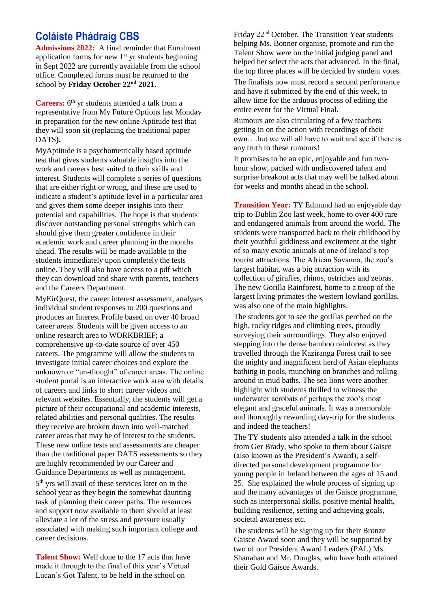## **Coláiste Phádraig CBS**

**Admissions 2022:** A final reminder that Enrolment application forms for new  $1<sup>st</sup>$  yr students beginning in Sept 2022 are currently available from the school office. Completed forms must be returned to the school by **Friday October 22nd 2021**.

**Careers:**  $6^{\text{th}}$  yr students attended a talk from a representative from My Future Options last Monday in preparation for the new online Aptitude test that they will soon sit (replacing the traditional paper DATS**).** 

MyAptitude is a psychometrically based aptitude test that gives students valuable insights into the work and careers best suited to their skills and interest. Students will complete a series of questions that are either right or wrong, and these are used to indicate a student's aptitude level in a particular area and gives them some deeper insights into their potential and capabilities. The hope is that students discover outstanding personal strengths which can should give them greater confidence in their academic work and career planning in the months ahead. The results will be made available to the students immediately upon completely the tests online. They will also have access to a pdf which they can download and share with parents, teachers and the Careers Department.

MyEirQuest, the career interest assessment, analyses individual student responses to 200 questions and produces an Interest Profile based on over 40 broad career areas. Students will be given access to an online research area to WORKBRIEF; a comprehensive up-to-date source of over 450 careers. The programme will allow the students to investigate initial career choices and explore the unknown or "un-thought" of career areas. The online student portal is an interactive work area with details of careers and links to short career videos and relevant websites. Essentially, the students will get a picture of their occupational and academic interests, related abilities and personal qualities. The results they receive are broken down into well-matched career areas that may be of interest to the students. These new online tests and assessments are cheaper than the traditional paper DATS assessments so they are highly recommended by our Career and Guidance Departments as well as management.

5 th yrs will avail of these services later on in the school year as they begin the somewhat daunting task of planning their career paths. The resources and support now available to them should at least alleviate a lot of the stress and pressure usually associated with making such important college and career decisions.

**Talent Show:** Well done to the 17 acts that have made it through to the final of this year's Virtual Lucan's Got Talent, to be held in the school on

Friday 22nd October. The Transition Year students helping Ms. Bonner organise, promote and run the Talent Show were on the initial judging panel and helped her select the acts that advanced. In the final, the top three places will be decided by student votes.

The finalists now must record a second performance and have it submitted by the end of this week, to allow time for the arduous process of editing the entire event for the Virtual Final.

Rumours are also circulating of a few teachers getting in on the action with recordings of their own….but we will all have to wait and see if there is any truth to these rumours!

It promises to be an epic, enjoyable and fun twohour show, packed with undiscovered talent and surprise breakout acts that may well be talked about for weeks and months ahead in the school.

**Transition Year:** TY Edmund had an enjoyable day trip to Dublin Zoo last week, home to over 400 rare and endangered animals from around the world. The students were transported back to their childhood by their youthful giddiness and excitement at the sight of so many exotic animals at one of Ireland's top tourist attractions. The African Savanna, the zoo's largest habitat, was a big attraction with its collection of giraffes, rhinos, ostriches and zebras. The new Gorilla Rainforest, home to a troop of the largest living primates-the western lowland gorillas, was also one of the main highlights.

The students got to see the gorillas perched on the high, rocky ridges and climbing trees, proudly surveying their surroundings. They also enjoyed stepping into the dense bamboo rainforest as they travelled through the Kaziranga Forest trail to see the mighty and magnificent herd of Asian elephants bathing in pools, munching on branches and rolling around in mud baths. The sea lions were another highlight with students thrilled to witness the underwater acrobats of perhaps the zoo's most elegant and graceful animals. It was a memorable and thoroughly rewarding day-trip for the students and indeed the teachers!

The TY students also attended a talk in the school from Ger Brady, who spoke to them about Gaisce (also known as the President's Award), a selfdirected personal development programme for young people in Ireland between the ages of 15 and 25. She explained the whole process of signing up and the many advantages of the Gaisce programme, such as interpersonal skills, positive mental health, building resilience, setting and achieving goals, societal awareness etc.

The students will be signing up for their Bronze Gaisce Award soon and they will be supported by two of our President Award Leaders (PAL) Ms. Shanahan and Mr. Douglas, who have both attained their Gold Gaisce Awards.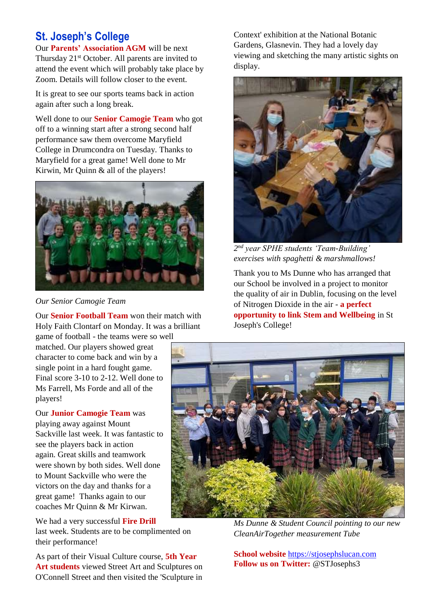# **St. Joseph's College**

Our **Parents' Association AGM** will be next Thursday 21<sup>st</sup> October. All parents are invited to attend the event which will probably take place by Zoom. Details will follow closer to the event.

It is great to see our sports teams back in action again after such a long break.

Well done to our **Senior Camogie Team** who got off to a winning start after a strong second half performance saw them overcome Maryfield College in Drumcondra on Tuesday. Thanks to Maryfield for a great game! Well done to Mr Kirwin, Mr Quinn & all of the players!



*Our Senior Camogie Team*

Our **Senior Football Team** won their match with Holy Faith Clontarf on Monday. It was a brilliant

game of football - the teams were so well matched. Our players showed great character to come back and win by a single point in a hard fought game. Final score 3-10 to 2-12. Well done to Ms Farrell, Ms Forde and all of the players!

Our **Junior Camogie Team** was playing away against Mount Sackville last week. It was fantastic to see the players back in action again. Great skills and teamwork were shown by both sides. Well done to Mount Sackville who were the victors on the day and thanks for a great game! Thanks again to our coaches Mr Quinn & Mr Kirwan.

We had a very successful **Fire Drill** last week. Students are to be complimented on their performance!

As part of their Visual Culture course, **5th Year Art students** viewed Street Art and Sculptures on O'Connell Street and then visited the 'Sculpture in

Context' exhibition at the National Botanic Gardens, Glasnevin. They had a lovely day viewing and sketching the many artistic sights on display.



*2 nd year SPHE students 'Team-Building' exercises with spaghetti & marshmallows!*

Thank you to Ms Dunne who has arranged that our School be involved in a project to monitor the quality of air in Dublin, focusing on the level of Nitrogen Dioxide in the air - **a perfect opportunity to link Stem and Wellbeing** in St Joseph's College!



*Ms Dunne & Student Council pointing to our new CleanAirTogether measurement Tube*

**School website** [https://stjosephslucan.com](https://stjosephslucan.com/) **Follow us on Twitter:** @STJosephs3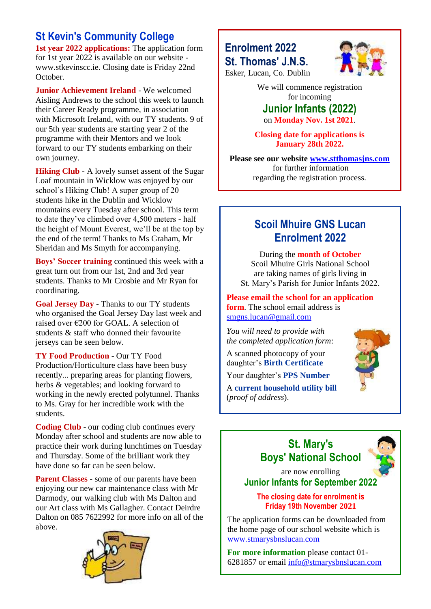# **St Kevin's Community College**

**1st year 2022 applications:** The application form for 1st year 2022 is available on our website www.stkevinscc.ie. Closing date is Friday 22nd October.

**Junior Achievement Ireland** - We welcomed Aisling Andrews to the school this week to launch their Career Ready programme, in association with Microsoft Ireland, with our TY students. 9 of our 5th year students are starting year 2 of the programme with their Mentors and we look forward to our TY students embarking on their own journey.

**Hiking Club** - A lovely sunset assent of the Sugar Loaf mountain in Wicklow was enjoyed by our school's Hiking Club! A super group of 20 students hike in the Dublin and Wicklow mountains every Tuesday after school. This term to date they've climbed over 4,500 meters - half the height of Mount Everest, we'll be at the top by the end of the term! Thanks to Ms Graham, Mr Sheridan and Ms Smyth for accompanying.

**Boys' Soccer training** continued this week with a great turn out from our 1st, 2nd and 3rd year students. Thanks to Mr Crosbie and Mr Ryan for coordinating.

**Goal Jersey Day** - Thanks to our TY students who organised the Goal Jersey Day last week and raised over €200 for GOAL. A selection of students & staff who donned their favourite jerseys can be seen below.

**TY Food Production** - Our TY Food Production/Horticulture class have been busy recently... preparing areas for planting flowers, herbs & vegetables; and looking forward to working in the newly erected polytunnel. Thanks to Ms. Gray for her incredible work with the students.

**Coding Club** - our coding club continues every Monday after school and students are now able to practice their work during lunchtimes on Tuesday and Thursday. Some of the brilliant work they have done so far can be seen below.

**Parent Classes** - some of our parents have been enjoying our new car maintenance class with Mr Darmody, our walking club with Ms Dalton and our Art class with Ms Gallagher. Contact Deirdre Dalton on 085 7622992 for more info on all of the above.



## **Enrolment 2022 St. Thomas' J.N.S.** Esker, Lucan, Co. Dublin



We will commence registration for incoming **Junior Infants (2022)**

on **Monday Nov. 1st 2021**.

**Closing date for applications is January 28th 2022.**

**Please see our website [www.stthomasjns.com](http://www.stthomasjns.com/)** for further information regarding the registration process.

# **Scoil Mhuire GNS Lucan Enrolment 2022**

During the **month of October** Scoil Mhuire Girls National School are taking names of girls living in St. Mary's Parish for Junior Infants 2022.

**Please email the school for an application form**. The school email address is [smgns.lucan@gmail.com](mailto:smgns.lucan@gmail.com)

*You will need to provide with the completed application form*:

A scanned photocopy of your daughter's **Birth Certificate**

Your daughter's **PPS Number**

A **current household utility bill** (*proof of address*).



## **St. Mary's Boys' National School**



are now enrolling **Junior Infants for September 2022**

## **The closing date for enrolment is Friday 19th November 2021**

The application forms can be downloaded from the home page of our school website which is [www.stmarysbnslucan.com](http://www.stmarysbnslucan.com/)

**For more information** please contact 01- 6281857 or email [info@stmarysbnslucan.com](mailto:info@stmarysbnslucan.com)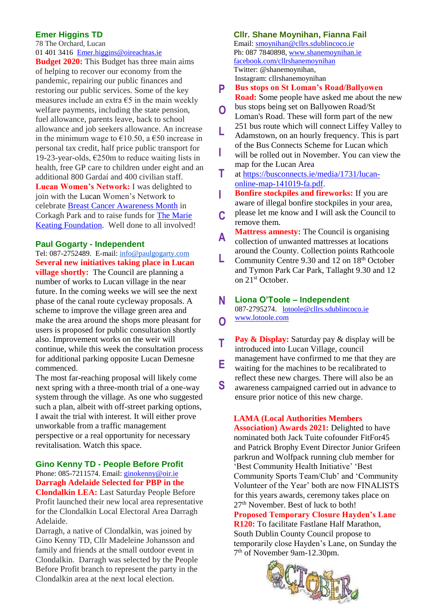### **Emer Higgins TD**

78 The Orchard, Lucan [01 401 3416](tel:014013416) [Emer.higgins@oireachtas.ie](mailto:Emer.higgins@oireachtas.ie)

**Budget 2020:** This Budget has three main aims of helping to recover our economy from the pandemic, repairing our public finances and restoring our public services. Some of the key measures include an extra  $\epsilon$ 5 in the main weekly welfare payments, including the state pension, fuel allowance, parents leave, back to school allowance and job seekers allowance. An increase in the minimum wage to  $\epsilon$ 10.50, a  $\epsilon$ 50 increase in personal tax credit, half price public transport for 19-23-year-olds,  $E250m$  to reduce waiting lists in health, free GP care to children under eight and an additional 800 Gardaí and 400 civilian staff. **Lucan Women's Network:** I was delighted to join with the [Lucan](https://www.facebook.com/Lucanwomensnetwork/?__cft__%5b0%5d=AZUY4NRXaPlQCG3g1S35KSsv3VfNQppwhHoKqc-wr1AVZZjibqO_hS7Lzknp385hnKwATRQ71EXQ5rmd-Irq6KwlUFCTLTwgjjroyFQRa2wkSIQG2Fh57jFjlwytUE4jbN0ny1uEleuV9p8toYIFTlE3My9lkmzEM85hzz8KaWJk9kFNNKZEvfWsspUa0ACMP4o&__tn__=kK-R) Women's Network to celebrate [Breast Cancer Awareness Month](https://www.facebook.com/hashtag/breastcancerawarenessmonth?__eep__=6&__cft__%5b0%5d=AZUY4NRXaPlQCG3g1S35KSsv3VfNQppwhHoKqc-wr1AVZZjibqO_hS7Lzknp385hnKwATRQ71EXQ5rmd-Irq6KwlUFCTLTwgjjroyFQRa2wkSIQG2Fh57jFjlwytUE4jbN0ny1uEleuV9p8toYIFTlE3My9lkmzEM85hzz8KaWJk9kFNNKZEvfWsspUa0ACMP4o&__tn__=*NK-R) in Corkagh Park and to raise funds for [The Marie](https://www.facebook.com/MarieKeatingFoundation/?__cft__%5b0%5d=AZUY4NRXaPlQCG3g1S35KSsv3VfNQppwhHoKqc-wr1AVZZjibqO_hS7Lzknp385hnKwATRQ71EXQ5rmd-Irq6KwlUFCTLTwgjjroyFQRa2wkSIQG2Fh57jFjlwytUE4jbN0ny1uEleuV9p8toYIFTlE3My9lkmzEM85hzz8KaWJk9kFNNKZEvfWsspUa0ACMP4o&__tn__=kK-R)  [Keating Foundation.](https://www.facebook.com/MarieKeatingFoundation/?__cft__%5b0%5d=AZUY4NRXaPlQCG3g1S35KSsv3VfNQppwhHoKqc-wr1AVZZjibqO_hS7Lzknp385hnKwATRQ71EXQ5rmd-Irq6KwlUFCTLTwgjjroyFQRa2wkSIQG2Fh57jFjlwytUE4jbN0ny1uEleuV9p8toYIFTlE3My9lkmzEM85hzz8KaWJk9kFNNKZEvfWsspUa0ACMP4o&__tn__=kK-R) Well done to all involved!

### **Paul Gogarty - Independent**

Tel: 087-2752489. E-mail: [info@paulgogarty.com](mailto:info@paulgogarty.com) **Several new initiatives taking place in Lucan village shortly:** The Council are planning a number of works to Lucan village in the near future. In the coming weeks we will see the next phase of the canal route cycleway proposals. A scheme to improve the village green area and make the area around the shops more pleasant for users is proposed for public consultation shortly also. Improvement works on the weir will continue, while this week the consultation process for additional parking opposite Lucan Demesne commenced.

The most far-reaching proposal will likely come next spring with a three-month trial of a one-way system through the village. As one who suggested such a plan, albeit with off-street parking options, I await the trial with interest. It will either prove unworkable from a traffic management perspective or a real opportunity for necessary revitalisation. Watch this space.

## **Gino Kenny TD - People Before Profit** Phone: 085-7211574. Email: [ginokenny@oir.ie](mailto:ginokenny@oir.ie)

**Darragh Adelaide Selected for PBP in the Clondalkin LEA:** Last Saturday People Before Profit launched their new local area representative for the Clondalkin Local Electoral Area Darragh Adelaide.

Darragh, a native of Clondalkin, was joined by Gino Kenny TD, Cllr Madeleine Johansson and family and friends at the small outdoor event in Clondalkin. Darragh was selected by the People Before Profit branch to represent the party in the Clondalkin area at the next local election.

### **Cllr. Shane Moynihan, Fianna Fail**

Email: [smoynihan@cllrs.sdublincoco.ie](mailto:smoynihan@cllrs.sdublincoco.ie) Ph: 087 7840898, [www.shanemoynihan.ie](http://www.shanemoynihan.ie/) [facebook.com/cllrshanemoynihan](http://facebook.com/cllrshanemoynihan) Twitter: @shanemoynihan, Instagram: cllrshanemoynihan

- **Bus stops on St Loman's Road/Ballyowen Road:** Some people have asked me about the new **P**
- bus stops being set on Ballyowen Road/St Loman's Road. These will form part of the new **O**
- 251 bus route which will connect Liffey Valley to Adamstown, on an hourly frequency. This is part of the Bus Connects Scheme for Lucan which **L**
- will be rolled out in November. You can view the map for the Lucan Area **I**
- at [https://busconnects.ie/media/1731/lucan](https://busconnects.ie/media/1731/lucan-online-map-141019-fa.pdf)[online-map-141019-fa.pdf.](https://busconnects.ie/media/1731/lucan-online-map-141019-fa.pdf) **T**
- **Bonfire stockpiles and fireworks:** If you are aware of illegal bonfire stockpiles in your area, **I**
- please let me know and I will ask the Council to remove them. **C**
- **Mattress amnesty:** The Council is organising collection of unwanted mattresses at locations around the County. Collection points Rathcoole **A**
- Community Centre 9.30 and 12 on 18th October and Tymon Park Car Park, Tallaght 9.30 and 12 on 21<sup>st</sup> October. **L**

#### **Liona O'Toole – Independent N**

087-2795274. [lotoole@cllrs.sdublincoco.ie](mailto:lotoole@cllrs.sdublincoco.ie) [www.lotoole.com](http://www.lotoole.com/) **O**

**Pay & Display:** Saturday pay & display will be introduced into Lucan Village, council management have confirmed to me that they are waiting for the machines to be recalibrated to reflect these new charges. There will also be an awareness campaigned carried out in advance to ensure prior notice of this new charge. **T E S**

## **LAMA (Local Authorities Members**

**Association) Awards 2021:** Delighted to have nominated both Jack Tuite cofounder FitFor45 and Patrick Brophy Event Director Junior Grifeen parkrun and Wolfpack running club member for 'Best Community Health Initiative' 'Best Community Sports Team/Club' and 'Community Volunteer of the Year' both are now FINALISTS for this years awards, ceremony takes place on 27<sup>th</sup> November. Best of luck to both!

**Proposed Temporary Closure Hayden's Lane R120:** To facilitate Fastlane Half Marathon, South Dublin County Council propose to temporarily close Hayden's Lane, on Sunday the 7 th of November 9am-12.30pm.

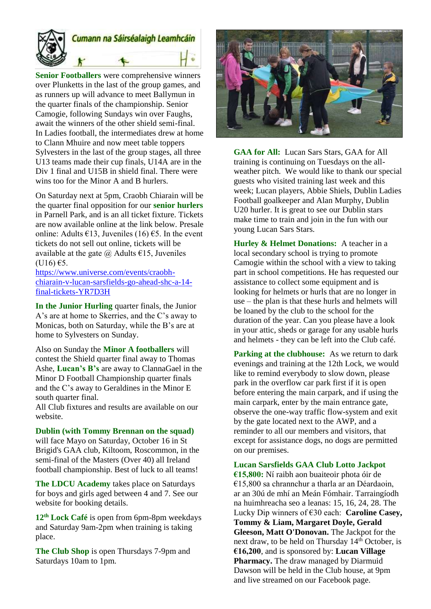

**Senior Footballers** were comprehensive winners over Plunketts in the last of the group games, and as runners up will advance to meet Ballymun in the quarter finals of the championship. Senior Camogie, following Sundays win over Faughs, await the winners of the other shield semi-final. In Ladies football, the intermediates drew at home to Clann Mhuire and now meet table toppers Sylvesters in the last of the group stages, all three U13 teams made their cup finals, U14A are in the Div 1 final and U15B in shield final. There were wins too for the Minor A and B hurlers.

On Saturday next at 5pm, Craobh Chiarain will be the quarter final opposition for our **senior hurlers** in Parnell Park, and is an all ticket fixture. Tickets are now available online at the link below. Presale online: Adults  $\epsilon$ 13, Juveniles (16)  $\epsilon$ 5. In the event tickets do not sell out online, tickets will be available at the gate  $\omega$  Adults  $\epsilon$ 15, Juveniles  $(U16)$   $E5$ .

[https://www.universe.com/events/craobh](https://www.universe.com/events/craobh-chiarain-v-lucan-sarsfields-go-ahead-shc-a-14-final-tickets-YR7D3H)[chiarain-v-lucan-sarsfields-go-ahead-shc-a-14](https://www.universe.com/events/craobh-chiarain-v-lucan-sarsfields-go-ahead-shc-a-14-final-tickets-YR7D3H) [final-tickets-YR7D3H](https://www.universe.com/events/craobh-chiarain-v-lucan-sarsfields-go-ahead-shc-a-14-final-tickets-YR7D3H)

**In the Junior Hurling** quarter finals, the Junior A's are at home to Skerries, and the C's away to Monicas, both on Saturday, while the B's are at home to Sylvesters on Sunday.

Also on Sunday the **Minor A footballers** will contest the Shield quarter final away to Thomas Ashe, **Lucan's B's** are away to ClannaGael in the Minor D Football Championship quarter finals and the C's away to Geraldines in the Minor E south quarter final.

All Club fixtures and results are available on our website.

**Dublin (with Tommy Brennan on the squad)**

will face Mayo on Saturday, October 16 in St Brigid's GAA club, Kiltoom, Roscommon, in the semi-final of the Masters (Over 40) all Ireland football championship. Best of luck to all teams!

**The LDCU Academy** takes place on Saturdays for boys and girls aged between 4 and 7. See our website for booking details.

**12th Lock Café** is open from 6pm-8pm weekdays and Saturday 9am-2pm when training is taking place.

**The Club Shop** is open Thursdays 7-9pm and Saturdays 10am to 1pm.



**GAA for All:** Lucan Sars Stars, GAA for All training is continuing on Tuesdays on the allweather pitch. We would like to thank our special guests who visited training last week and this week; Lucan players, Abbie Shiels, Dublin Ladies Football goalkeeper and Alan Murphy, Dublin U20 hurler. It is great to see our Dublin stars make time to train and join in the fun with our young Lucan Sars Stars.

**Hurley & Helmet Donations:** A teacher in a local secondary school is trying to promote Camogie within the school with a view to taking part in school competitions. He has requested our assistance to collect some equipment and is looking for helmets or hurls that are no longer in use – the plan is that these hurls and helmets will be loaned by the club to the school for the duration of the year. Can you please have a look in your attic, sheds or garage for any usable hurls and helmets - they can be left into the Club café.

**Parking at the clubhouse:** As we return to dark evenings and training at the 12th Lock, we would like to remind everybody to slow down, please park in the overflow car park first if it is open before entering the main carpark, and if using the main carpark, enter by the main entrance gate, observe the one-way traffic flow-system and exit by the gate located next to the AWP, and a reminder to all our members and visitors, that except for assistance dogs, no dogs are permitted on our premises.

**Lucan Sarsfields GAA Club Lotto Jackpot €15,800:** Ní raibh aon buaiteoir phota óir de €15,800 sa chrannchur a tharla ar an Déardaoin, ar an 30ú de mhí an Meán Fómhair. Tarraingíodh na huimhreacha seo a leanas: 15, 16, 24, 28. The Lucky Dip winners of €30 each: **Caroline Casey, Tommy & Liam, Margaret Doyle, Gerald Gleeson, Matt O'Donovan.** The Jackpot for the next draw, to be held on Thursday  $14<sup>th</sup>$  October, is **€16,200**, and is sponsored by: **Lucan Village Pharmacy.** The draw managed by Diarmuid Dawson will be held in the Club house, at 9pm and live streamed on our Facebook page.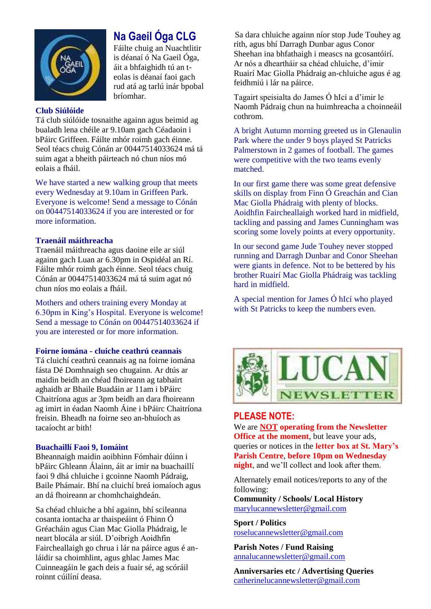

# **Na Gaeil Óga CLG**

Fáilte chuig an Nuachtlitir is déanaí ó Na Gaeil Óga, áit a bhfaighidh tú an teolas is déanaí faoi gach rud atá ag tarlú inár bpobal bríomhar.

### **Club Siúlóide**

Tá club siúlóide tosnaithe againn agus beimid ag bualadh lena chéile ar 9.10am gach Céadaoin i bPáirc Griffeen. Fáilte mhór roimh gach éinne. Seol téacs chuig Cónán ar 00447514033624 má tá suim agat a bheith páirteach nó chun níos mó eolais a fháil.

We have started a new walking group that meets every Wednesday at 9.10am in Griffeen Park. Everyone is welcome! Send a message to Cónán on 00447514033624 if you are interested or for more information.

## **Traenáil máithreacha**

Traenáil máithreacha agus daoine eile ar siúl againn gach Luan ar 6.30pm in Ospidéal an Rí. Fáilte mhór roimh gach éinne. Seol téacs chuig Cónán ar 00447514033624 má tá suim agat nó chun níos mo eolais a fháil.

Mothers and others training every Monday at 6.30pm in King's Hospital. Everyone is welcome! Send a message to Cónán on 00447514033624 if you are interested or for more information.

### **Foirne iomána - cluiche ceathrú ceannais**

Tá cluichí ceathrú ceannais ag na foirne iomána fásta Dé Domhnaigh seo chugainn. Ar dtús ar maidin beidh an chéad fhoireann ag tabhairt aghaidh ar Bhaile Buadáin ar 11am i bPáirc Chaitríona agus ar 3pm beidh an dara fhoireann ag imirt in éadan Naomh Áine i bPáirc Chaitríona freisin. Bheadh na foirne seo an-bhuíoch as tacaíocht ar bith!

### **Buachaillí Faoi 9, Iomáint**

Bheannaigh maidin aoibhinn Fómhair dúinn i bPáirc Ghleann Álainn, áit ar imir na buachaillí faoi 9 dhá chluiche i gcoinne Naomh Pádraig, Baile Phámair. Bhí na cluichí breá iomaíoch agus an dá fhoireann ar chomhchaighdeán.

Sa chéad chluiche a bhí againn, bhí scileanna cosanta iontacha ar thaispeáint ó Fhinn Ó Gréacháin agus Cian Mac Giolla Phádraig, le neart blocála ar siúl. D'oibrigh Aoidhfin Faircheallaigh go chrua i lár na páirce agus é anláidir sa choimhlint, agus ghlac James Mac Cuinneagáin le gach deis a fuair sé, ag scóráil roinnt cúilíní deasa.

Sa dara chluiche againn níor stop Jude Touhey ag rith, agus bhí Darragh Dunbar agus Conor Sheehan ina bhfathaigh i meascs na gcosantóirí. Ar nós a dheartháir sa chéad chluiche, d'imir Ruairí Mac Giolla Phádraig an-chluiche agus é ag feidhmiú i lár na páirce.

Tagairt speisialta do James Ó hIcí a d'imir le Naomh Pádraig chun na huimhreacha a choinneáil cothrom.

A bright Autumn morning greeted us in Glenaulin Park where the under 9 boys played St Patricks Palmerstown in 2 games of football. The games were competitive with the two teams evenly matched.

In our first game there was some great defensive skills on display from Finn Ó Greachán and Cian Mac Giolla Phádraig with plenty of blocks. Aoidhfin Faircheallaigh worked hard in midfield, tackling and passing and James Cunningham was scoring some lovely points at every opportunity.

In our second game Jude Touhey never stopped running and Darragh Dunbar and Conor Sheehan were giants in defence. Not to be bettered by his brother Ruairí Mac Giolla Phádraig was tackling hard in midfield.

A special mention for James Ó hIcí who played with St Patricks to keep the numbers even.



## **PLEASE NOTE:**

We are **NOT operating from the Newsletter Office at the moment**, but leave your ads, queries or notices in the **letter box at St. Mary's Parish Centre**, **before 10pm on Wednesday night**, and we'll collect and look after them.

Alternately email notices/reports to any of the following:

**Community / Schools/ Local History**  [marylucannewsletter@gmail.com](mailto:marylucannewsletter@gmail.com) 

**Sport / Politics** [roselucannewsletter@gmail.com](mailto:roselucannewsletter@gmail.com)

**Parish Notes / Fund Raising** [annalucannewsletter@gmail.com](mailto:annalucannewsletter@gmail.com)

**Anniversaries etc / Advertising Queries**  [catherinelucannewsletter@gmail.com](mailto:catherinelucannewsletter@gmail.com)